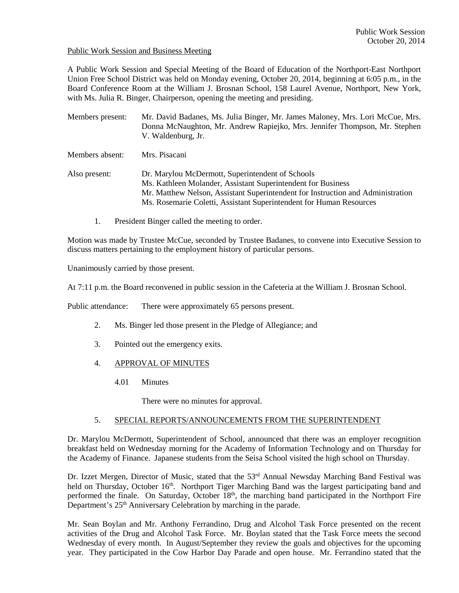### Public Work Session and Business Meeting

A Public Work Session and Special Meeting of the Board of Education of the Northport-East Northport Union Free School District was held on Monday evening, October 20, 2014, beginning at 6:05 p.m., in the Board Conference Room at the William J. Brosnan School, 158 Laurel Avenue, Northport, New York, with Ms. Julia R. Binger, Chairperson, opening the meeting and presiding.

- Members present: Mr. David Badanes, Ms. Julia Binger, Mr. James Maloney, Mrs. Lori McCue, Mrs. Donna McNaughton, Mr. Andrew Rapiejko, Mrs. Jennifer Thompson, Mr. Stephen V. Waldenburg, Jr.
- Members absent: Mrs. Pisacani
- Also present: Dr. Marylou McDermott, Superintendent of Schools Ms. Kathleen Molander, Assistant Superintendent for Business Mr. Matthew Nelson, Assistant Superintendent for Instruction and Administration Ms. Rosemarie Coletti, Assistant Superintendent for Human Resources
	- 1. President Binger called the meeting to order.

Motion was made by Trustee McCue, seconded by Trustee Badanes, to convene into Executive Session to discuss matters pertaining to the employment history of particular persons.

Unanimously carried by those present.

At 7:11 p.m. the Board reconvened in public session in the Cafeteria at the William J. Brosnan School.

Public attendance: There were approximately 65 persons present.

- 2. Ms. Binger led those present in the Pledge of Allegiance; and
- 3. Pointed out the emergency exits.
- 4. APPROVAL OF MINUTES
	- 4.01 Minutes

There were no minutes for approval.

## 5. SPECIAL REPORTS/ANNOUNCEMENTS FROM THE SUPERINTENDENT

Dr. Marylou McDermott, Superintendent of School, announced that there was an employer recognition breakfast held on Wednesday morning for the Academy of Information Technology and on Thursday for the Academy of Finance. Japanese students from the Seisa School visited the high school on Thursday.

Dr. Izzet Mergen, Director of Music, stated that the 53<sup>rd</sup> Annual Newsday Marching Band Festival was held on Thursday, October 16<sup>th</sup>. Northport Tiger Marching Band was the largest participating band and performed the finale. On Saturday, October 18<sup>th</sup>, the marching band participated in the Northport Fire Department's 25<sup>th</sup> Anniversary Celebration by marching in the parade.

Mr. Sean Boylan and Mr. Anthony Ferrandino, Drug and Alcohol Task Force presented on the recent activities of the Drug and Alcohol Task Force. Mr. Boylan stated that the Task Force meets the second Wednesday of every month. In August/September they review the goals and objectives for the upcoming year. They participated in the Cow Harbor Day Parade and open house. Mr. Ferrandino stated that the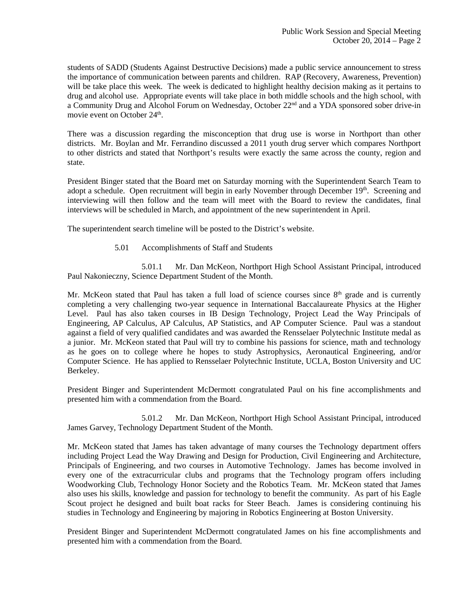students of SADD (Students Against Destructive Decisions) made a public service announcement to stress the importance of communication between parents and children. RAP (Recovery, Awareness, Prevention) will be take place this week. The week is dedicated to highlight healthy decision making as it pertains to drug and alcohol use. Appropriate events will take place in both middle schools and the high school, with a Community Drug and Alcohol Forum on Wednesday, October 22<sup>nd</sup> and a YDA sponsored sober drive-in movie event on October 24<sup>th</sup>.

There was a discussion regarding the misconception that drug use is worse in Northport than other districts. Mr. Boylan and Mr. Ferrandino discussed a 2011 youth drug server which compares Northport to other districts and stated that Northport's results were exactly the same across the county, region and state.

President Binger stated that the Board met on Saturday morning with the Superintendent Search Team to adopt a schedule. Open recruitment will begin in early November through December 19<sup>th</sup>. Screening and interviewing will then follow and the team will meet with the Board to review the candidates, final interviews will be scheduled in March, and appointment of the new superintendent in April.

The superintendent search timeline will be posted to the District's website.

5.01 Accomplishments of Staff and Students

 5.01.1 Mr. Dan McKeon, Northport High School Assistant Principal, introduced Paul Nakonieczny, Science Department Student of the Month.

Mr. McKeon stated that Paul has taken a full load of science courses since  $8<sup>th</sup>$  grade and is currently completing a very challenging two-year sequence in International Baccalaureate Physics at the Higher Level. Paul has also taken courses in IB Design Technology, Project Lead the Way Principals of Engineering, AP Calculus, AP Calculus, AP Statistics, and AP Computer Science. Paul was a standout against a field of very qualified candidates and was awarded the Rensselaer Polytechnic Institute medal as a junior. Mr. McKeon stated that Paul will try to combine his passions for science, math and technology as he goes on to college where he hopes to study Astrophysics, Aeronautical Engineering, and/or Computer Science. He has applied to Rensselaer Polytechnic Institute, UCLA, Boston University and UC Berkeley.

President Binger and Superintendent McDermott congratulated Paul on his fine accomplishments and presented him with a commendation from the Board.

 5.01.2 Mr. Dan McKeon, Northport High School Assistant Principal, introduced James Garvey, Technology Department Student of the Month.

Mr. McKeon stated that James has taken advantage of many courses the Technology department offers including Project Lead the Way Drawing and Design for Production, Civil Engineering and Architecture, Principals of Engineering, and two courses in Automotive Technology. James has become involved in every one of the extracurricular clubs and programs that the Technology program offers including Woodworking Club, Technology Honor Society and the Robotics Team. Mr. McKeon stated that James also uses his skills, knowledge and passion for technology to benefit the community. As part of his Eagle Scout project he designed and built boat racks for Steer Beach. James is considering continuing his studies in Technology and Engineering by majoring in Robotics Engineering at Boston University.

President Binger and Superintendent McDermott congratulated James on his fine accomplishments and presented him with a commendation from the Board.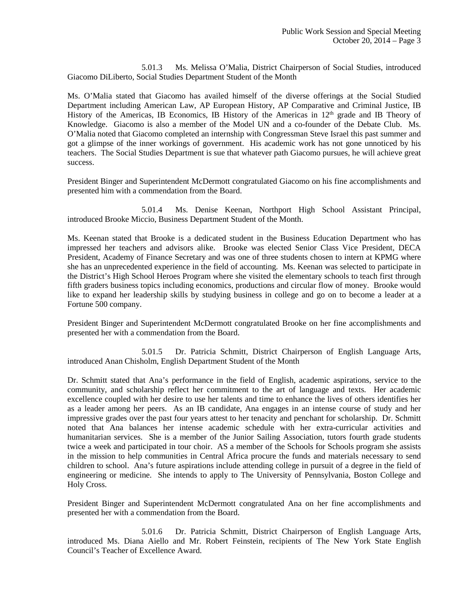5.01.3 Ms. Melissa O'Malia, District Chairperson of Social Studies, introduced Giacomo DiLiberto, Social Studies Department Student of the Month

Ms. O'Malia stated that Giacomo has availed himself of the diverse offerings at the Social Studied Department including American Law, AP European History, AP Comparative and Criminal Justice, IB History of the Americas, IB Economics, IB History of the Americas in 12<sup>th</sup> grade and IB Theory of Knowledge. Giacomo is also a member of the Model UN and a co-founder of the Debate Club. Ms. O'Malia noted that Giacomo completed an internship with Congressman Steve Israel this past summer and got a glimpse of the inner workings of government. His academic work has not gone unnoticed by his teachers. The Social Studies Department is sue that whatever path Giacomo pursues, he will achieve great success.

President Binger and Superintendent McDermott congratulated Giacomo on his fine accomplishments and presented him with a commendation from the Board.

 5.01.4 Ms. Denise Keenan, Northport High School Assistant Principal, introduced Brooke Miccio, Business Department Student of the Month.

Ms. Keenan stated that Brooke is a dedicated student in the Business Education Department who has impressed her teachers and advisors alike. Brooke was elected Senior Class Vice President, DECA President, Academy of Finance Secretary and was one of three students chosen to intern at KPMG where she has an unprecedented experience in the field of accounting. Ms. Keenan was selected to participate in the District's High School Heroes Program where she visited the elementary schools to teach first through fifth graders business topics including economics, productions and circular flow of money. Brooke would like to expand her leadership skills by studying business in college and go on to become a leader at a Fortune 500 company.

President Binger and Superintendent McDermott congratulated Brooke on her fine accomplishments and presented her with a commendation from the Board.

 5.01.5 Dr. Patricia Schmitt, District Chairperson of English Language Arts, introduced Anan Chisholm, English Department Student of the Month

Dr. Schmitt stated that Ana's performance in the field of English, academic aspirations, service to the community, and scholarship reflect her commitment to the art of language and texts. Her academic excellence coupled with her desire to use her talents and time to enhance the lives of others identifies her as a leader among her peers. As an IB candidate, Ana engages in an intense course of study and her impressive grades over the past four years attest to her tenacity and penchant for scholarship. Dr. Schmitt noted that Ana balances her intense academic schedule with her extra-curricular activities and humanitarian services. She is a member of the Junior Sailing Association, tutors fourth grade students twice a week and participated in tour choir. AS a member of the Schools for Schools program she assists in the mission to help communities in Central Africa procure the funds and materials necessary to send children to school. Ana's future aspirations include attending college in pursuit of a degree in the field of engineering or medicine. She intends to apply to The University of Pennsylvania, Boston College and Holy Cross.

President Binger and Superintendent McDermott congratulated Ana on her fine accomplishments and presented her with a commendation from the Board.

 5.01.6 Dr. Patricia Schmitt, District Chairperson of English Language Arts, introduced Ms. Diana Aiello and Mr. Robert Feinstein, recipients of The New York State English Council's Teacher of Excellence Award.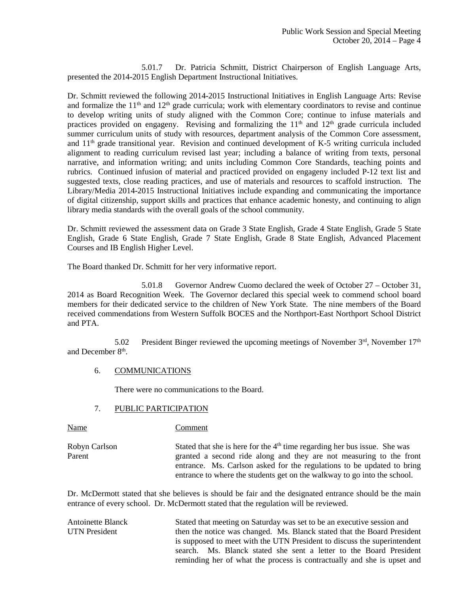5.01.7 Dr. Patricia Schmitt, District Chairperson of English Language Arts, presented the 2014-2015 English Department Instructional Initiatives.

Dr. Schmitt reviewed the following 2014-2015 Instructional Initiatives in English Language Arts: Revise and formalize the  $11<sup>th</sup>$  and  $12<sup>th</sup>$  grade curricula; work with elementary coordinators to revise and continue to develop writing units of study aligned with the Common Core; continue to infuse materials and practices provided on engageny. Revising and formalizing the  $11<sup>th</sup>$  and  $12<sup>th</sup>$  grade curricula included summer curriculum units of study with resources, department analysis of the Common Core assessment, and 11th grade transitional year. Revision and continued development of K-5 writing curricula included alignment to reading curriculum revised last year; including a balance of writing from texts, personal narrative, and information writing; and units including Common Core Standards, teaching points and rubrics. Continued infusion of material and practiced provided on engageny included P-12 text list and suggested texts, close reading practices, and use of materials and resources to scaffold instruction. The Library/Media 2014-2015 Instructional Initiatives include expanding and communicating the importance of digital citizenship, support skills and practices that enhance academic honesty, and continuing to align library media standards with the overall goals of the school community.

Dr. Schmitt reviewed the assessment data on Grade 3 State English, Grade 4 State English, Grade 5 State English, Grade 6 State English, Grade 7 State English, Grade 8 State English, Advanced Placement Courses and IB English Higher Level.

The Board thanked Dr. Schmitt for her very informative report.

 5.01.8 Governor Andrew Cuomo declared the week of October 27 – October 31, 2014 as Board Recognition Week. The Governor declared this special week to commend school board members for their dedicated service to the children of New York State. The nine members of the Board received commendations from Western Suffolk BOCES and the Northport-East Northport School District and PTA.

5.02 President Binger reviewed the upcoming meetings of November  $3<sup>rd</sup>$ , November  $17<sup>th</sup>$ and December 8<sup>th</sup>.

## 6. COMMUNICATIONS

There were no communications to the Board.

### 7. PUBLIC PARTICIPATION

Name Comment

Robyn Carlson Stated that she is here for the  $4<sup>th</sup>$  time regarding her bus issue. She was Parent granted a second ride along and they are not measuring to the front entrance. Ms. Carlson asked for the regulations to be updated to bring entrance to where the students get on the walkway to go into the school.

Dr. McDermott stated that she believes is should be fair and the designated entrance should be the main entrance of every school. Dr. McDermott stated that the regulation will be reviewed.

Antoinette Blanck Stated that meeting on Saturday was set to be an executive session and UTN President then the notice was changed. Ms. Blanck stated that the Board President is supposed to meet with the UTN President to discuss the superintendent search. Ms. Blanck stated she sent a letter to the Board President reminding her of what the process is contractually and she is upset and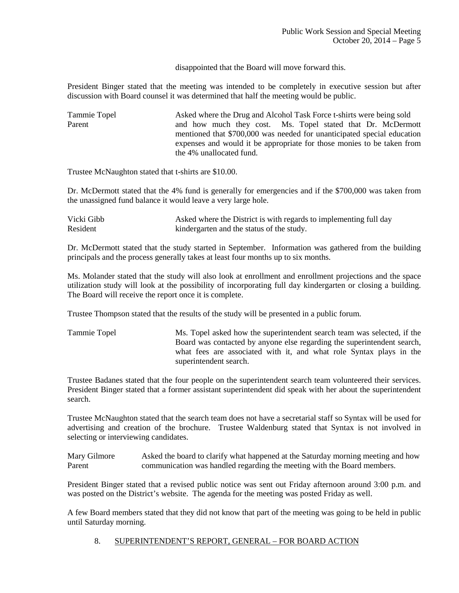disappointed that the Board will move forward this.

President Binger stated that the meeting was intended to be completely in executive session but after discussion with Board counsel it was determined that half the meeting would be public.

| Tammie Topel | Asked where the Drug and Alcohol Task Force t-shirts were being sold    |
|--------------|-------------------------------------------------------------------------|
| Parent       | and how much they cost. Ms. Topel stated that Dr. McDermott             |
|              | mentioned that \$700,000 was needed for unanticipated special education |
|              | expenses and would it be appropriate for those monies to be taken from  |
|              | the 4% unallocated fund.                                                |

Trustee McNaughton stated that t-shirts are \$10.00.

Dr. McDermott stated that the 4% fund is generally for emergencies and if the \$700,000 was taken from the unassigned fund balance it would leave a very large hole.

| Vicki Gibb | Asked where the District is with regards to implementing full day |
|------------|-------------------------------------------------------------------|
| Resident   | kindergarten and the status of the study.                         |

Dr. McDermott stated that the study started in September. Information was gathered from the building principals and the process generally takes at least four months up to six months.

Ms. Molander stated that the study will also look at enrollment and enrollment projections and the space utilization study will look at the possibility of incorporating full day kindergarten or closing a building. The Board will receive the report once it is complete.

Trustee Thompson stated that the results of the study will be presented in a public forum.

Tammie Topel Ms. Topel asked how the superintendent search team was selected, if the Board was contacted by anyone else regarding the superintendent search, what fees are associated with it, and what role Syntax plays in the superintendent search.

Trustee Badanes stated that the four people on the superintendent search team volunteered their services. President Binger stated that a former assistant superintendent did speak with her about the superintendent search.

Trustee McNaughton stated that the search team does not have a secretarial staff so Syntax will be used for advertising and creation of the brochure. Trustee Waldenburg stated that Syntax is not involved in selecting or interviewing candidates.

Mary Gilmore Asked the board to clarify what happened at the Saturday morning meeting and how Parent communication was handled regarding the meeting with the Board members.

President Binger stated that a revised public notice was sent out Friday afternoon around 3:00 p.m. and was posted on the District's website. The agenda for the meeting was posted Friday as well.

A few Board members stated that they did not know that part of the meeting was going to be held in public until Saturday morning.

# 8. SUPERINTENDENT'S REPORT, GENERAL – FOR BOARD ACTION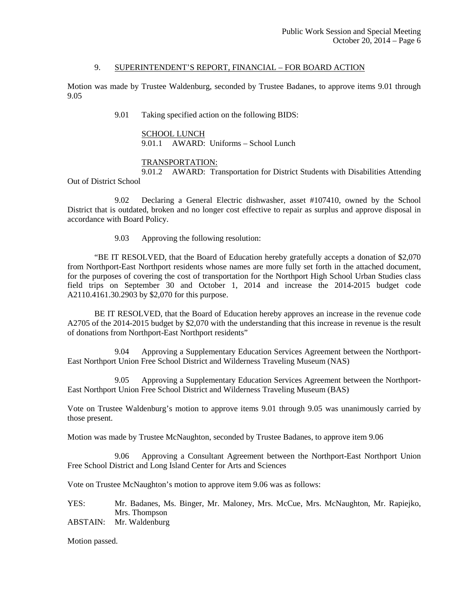### 9. SUPERINTENDENT'S REPORT, FINANCIAL – FOR BOARD ACTION

Motion was made by Trustee Waldenburg, seconded by Trustee Badanes, to approve items 9.01 through 9.05

9.01 Taking specified action on the following BIDS:

 SCHOOL LUNCH 9.01.1 AWARD: Uniforms – School Lunch

### TRANSPORTATION:

 9.01.2 AWARD: Transportation for District Students with Disabilities Attending Out of District School

 9.02 Declaring a General Electric dishwasher, asset #107410, owned by the School District that is outdated, broken and no longer cost effective to repair as surplus and approve disposal in accordance with Board Policy.

9.03 Approving the following resolution:

 "BE IT RESOLVED, that the Board of Education hereby gratefully accepts a donation of \$2,070 from Northport-East Northport residents whose names are more fully set forth in the attached document, for the purposes of covering the cost of transportation for the Northport High School Urban Studies class field trips on September 30 and October 1, 2014 and increase the 2014-2015 budget code A2110.4161.30.2903 by \$2,070 for this purpose.

 BE IT RESOLVED, that the Board of Education hereby approves an increase in the revenue code A2705 of the 2014-2015 budget by \$2,070 with the understanding that this increase in revenue is the result of donations from Northport-East Northport residents"

 9.04 Approving a Supplementary Education Services Agreement between the Northport-East Northport Union Free School District and Wilderness Traveling Museum (NAS)

 9.05 Approving a Supplementary Education Services Agreement between the Northport-East Northport Union Free School District and Wilderness Traveling Museum (BAS)

Vote on Trustee Waldenburg's motion to approve items 9.01 through 9.05 was unanimously carried by those present.

Motion was made by Trustee McNaughton, seconded by Trustee Badanes, to approve item 9.06

 9.06 Approving a Consultant Agreement between the Northport-East Northport Union Free School District and Long Island Center for Arts and Sciences

Vote on Trustee McNaughton's motion to approve item 9.06 was as follows:

YES: Mr. Badanes, Ms. Binger, Mr. Maloney, Mrs. McCue, Mrs. McNaughton, Mr. Rapiejko, Mrs. Thompson

ABSTAIN: Mr. Waldenburg

Motion passed.